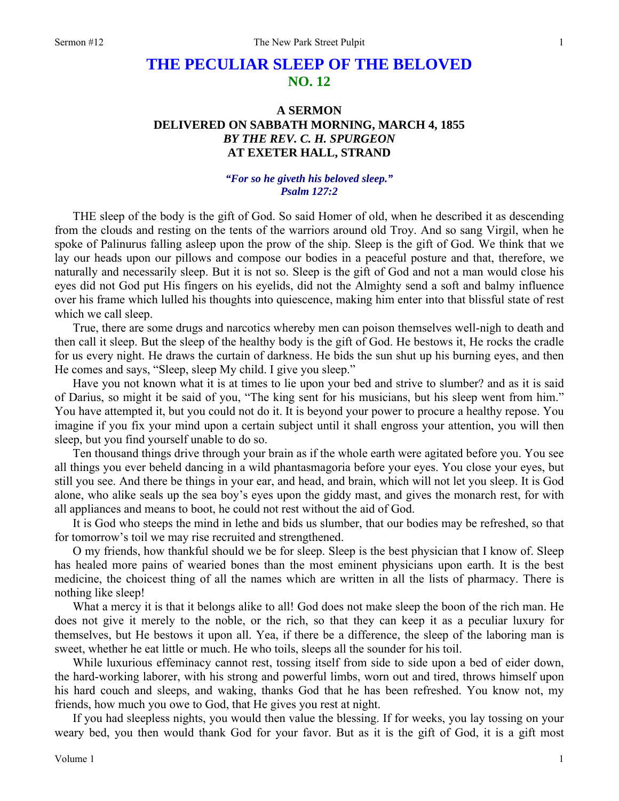# **THE PECULIAR SLEEP OF THE BELOVED NO. 12**

# **A SERMON DELIVERED ON SABBATH MORNING, MARCH 4, 1855**  *BY THE REV. C. H. SPURGEON*  **AT EXETER HALL, STRAND**

#### *"For so he giveth his beloved sleep." Psalm 127:2*

THE sleep of the body is the gift of God. So said Homer of old, when he described it as descending from the clouds and resting on the tents of the warriors around old Troy. And so sang Virgil, when he spoke of Palinurus falling asleep upon the prow of the ship. Sleep is the gift of God. We think that we lay our heads upon our pillows and compose our bodies in a peaceful posture and that, therefore, we naturally and necessarily sleep. But it is not so. Sleep is the gift of God and not a man would close his eyes did not God put His fingers on his eyelids, did not the Almighty send a soft and balmy influence over his frame which lulled his thoughts into quiescence, making him enter into that blissful state of rest which we call sleep.

True, there are some drugs and narcotics whereby men can poison themselves well-nigh to death and then call it sleep. But the sleep of the healthy body is the gift of God. He bestows it, He rocks the cradle for us every night. He draws the curtain of darkness. He bids the sun shut up his burning eyes, and then He comes and says, "Sleep, sleep My child. I give you sleep."

Have you not known what it is at times to lie upon your bed and strive to slumber? and as it is said of Darius, so might it be said of you, "The king sent for his musicians, but his sleep went from him." You have attempted it, but you could not do it. It is beyond your power to procure a healthy repose. You imagine if you fix your mind upon a certain subject until it shall engross your attention, you will then sleep, but you find yourself unable to do so.

Ten thousand things drive through your brain as if the whole earth were agitated before you. You see all things you ever beheld dancing in a wild phantasmagoria before your eyes. You close your eyes, but still you see. And there be things in your ear, and head, and brain, which will not let you sleep. It is God alone, who alike seals up the sea boy's eyes upon the giddy mast, and gives the monarch rest, for with all appliances and means to boot, he could not rest without the aid of God.

It is God who steeps the mind in lethe and bids us slumber, that our bodies may be refreshed, so that for tomorrow's toil we may rise recruited and strengthened.

O my friends, how thankful should we be for sleep. Sleep is the best physician that I know of. Sleep has healed more pains of wearied bones than the most eminent physicians upon earth. It is the best medicine, the choicest thing of all the names which are written in all the lists of pharmacy. There is nothing like sleep!

What a mercy it is that it belongs alike to all! God does not make sleep the boon of the rich man. He does not give it merely to the noble, or the rich, so that they can keep it as a peculiar luxury for themselves, but He bestows it upon all. Yea, if there be a difference, the sleep of the laboring man is sweet, whether he eat little or much. He who toils, sleeps all the sounder for his toil.

While luxurious effeminacy cannot rest, tossing itself from side to side upon a bed of eider down, the hard-working laborer, with his strong and powerful limbs, worn out and tired, throws himself upon his hard couch and sleeps, and waking, thanks God that he has been refreshed. You know not, my friends, how much you owe to God, that He gives you rest at night.

If you had sleepless nights, you would then value the blessing. If for weeks, you lay tossing on your weary bed, you then would thank God for your favor. But as it is the gift of God, it is a gift most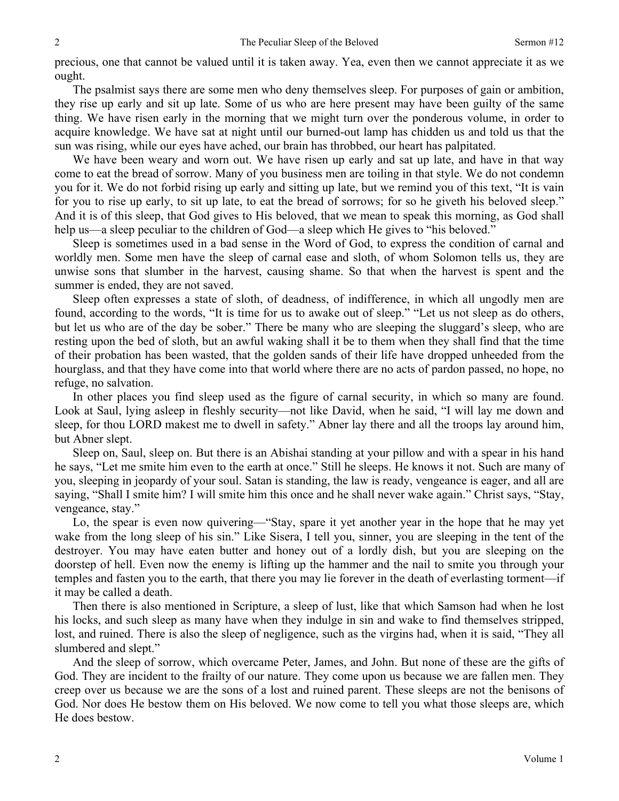precious, one that cannot be valued until it is taken away. Yea, even then we cannot appreciate it as we ought.

The psalmist says there are some men who deny themselves sleep. For purposes of gain or ambition, they rise up early and sit up late. Some of us who are here present may have been guilty of the same thing. We have risen early in the morning that we might turn over the ponderous volume, in order to acquire knowledge. We have sat at night until our burned-out lamp has chidden us and told us that the sun was rising, while our eyes have ached, our brain has throbbed, our heart has palpitated.

We have been weary and worn out. We have risen up early and sat up late, and have in that way come to eat the bread of sorrow. Many of you business men are toiling in that style. We do not condemn you for it. We do not forbid rising up early and sitting up late, but we remind you of this text, "It is vain for you to rise up early, to sit up late, to eat the bread of sorrows; for so he giveth his beloved sleep." And it is of this sleep, that God gives to His beloved, that we mean to speak this morning, as God shall help us—a sleep peculiar to the children of God—a sleep which He gives to "his beloved."

Sleep is sometimes used in a bad sense in the Word of God, to express the condition of carnal and worldly men. Some men have the sleep of carnal ease and sloth, of whom Solomon tells us, they are unwise sons that slumber in the harvest, causing shame. So that when the harvest is spent and the summer is ended, they are not saved.

Sleep often expresses a state of sloth, of deadness, of indifference, in which all ungodly men are found, according to the words, "It is time for us to awake out of sleep." "Let us not sleep as do others, but let us who are of the day be sober." There be many who are sleeping the sluggard's sleep, who are resting upon the bed of sloth, but an awful waking shall it be to them when they shall find that the time of their probation has been wasted, that the golden sands of their life have dropped unheeded from the hourglass, and that they have come into that world where there are no acts of pardon passed, no hope, no refuge, no salvation.

In other places you find sleep used as the figure of carnal security, in which so many are found. Look at Saul, lying asleep in fleshly security—not like David, when he said, "I will lay me down and sleep, for thou LORD makest me to dwell in safety." Abner lay there and all the troops lay around him, but Abner slept.

Sleep on, Saul, sleep on. But there is an Abishai standing at your pillow and with a spear in his hand he says, "Let me smite him even to the earth at once." Still he sleeps. He knows it not. Such are many of you, sleeping in jeopardy of your soul. Satan is standing, the law is ready, vengeance is eager, and all are saying, "Shall I smite him? I will smite him this once and he shall never wake again." Christ says, "Stay, vengeance, stay."

Lo, the spear is even now quivering—"Stay, spare it yet another year in the hope that he may yet wake from the long sleep of his sin." Like Sisera, I tell you, sinner, you are sleeping in the tent of the destroyer. You may have eaten butter and honey out of a lordly dish, but you are sleeping on the doorstep of hell. Even now the enemy is lifting up the hammer and the nail to smite you through your temples and fasten you to the earth, that there you may lie forever in the death of everlasting torment—if it may be called a death.

Then there is also mentioned in Scripture, a sleep of lust, like that which Samson had when he lost his locks, and such sleep as many have when they indulge in sin and wake to find themselves stripped, lost, and ruined. There is also the sleep of negligence, such as the virgins had, when it is said, "They all slumbered and slept."

And the sleep of sorrow, which overcame Peter, James, and John. But none of these are the gifts of God. They are incident to the frailty of our nature. They come upon us because we are fallen men. They creep over us because we are the sons of a lost and ruined parent. These sleeps are not the benisons of God. Nor does He bestow them on His beloved. We now come to tell you what those sleeps are, which He does bestow.

2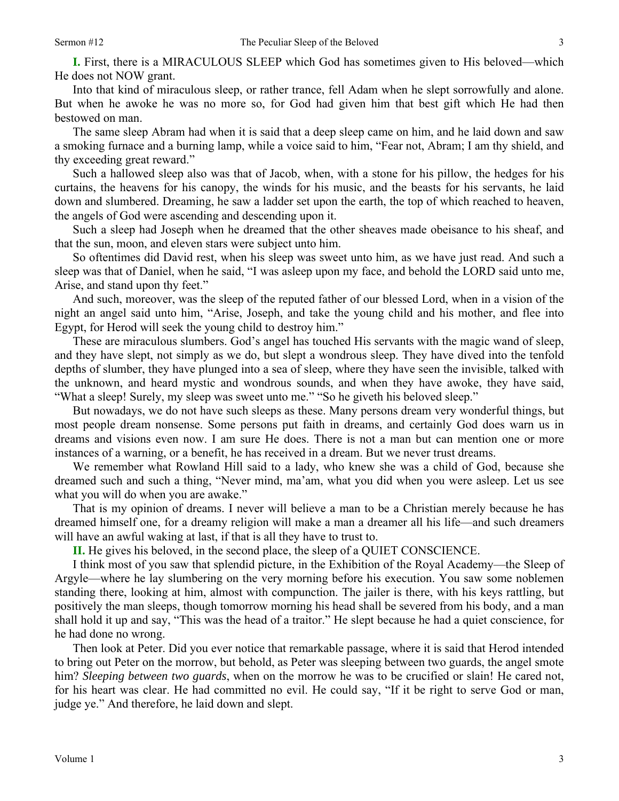**I.** First, there is a MIRACULOUS SLEEP which God has sometimes given to His beloved—which He does not NOW grant.

Into that kind of miraculous sleep, or rather trance, fell Adam when he slept sorrowfully and alone. But when he awoke he was no more so, for God had given him that best gift which He had then bestowed on man.

The same sleep Abram had when it is said that a deep sleep came on him, and he laid down and saw a smoking furnace and a burning lamp, while a voice said to him, "Fear not, Abram; I am thy shield, and thy exceeding great reward."

Such a hallowed sleep also was that of Jacob, when, with a stone for his pillow, the hedges for his curtains, the heavens for his canopy, the winds for his music, and the beasts for his servants, he laid down and slumbered. Dreaming, he saw a ladder set upon the earth, the top of which reached to heaven, the angels of God were ascending and descending upon it.

Such a sleep had Joseph when he dreamed that the other sheaves made obeisance to his sheaf, and that the sun, moon, and eleven stars were subject unto him.

So oftentimes did David rest, when his sleep was sweet unto him, as we have just read. And such a sleep was that of Daniel, when he said, "I was asleep upon my face, and behold the LORD said unto me, Arise, and stand upon thy feet."

And such, moreover, was the sleep of the reputed father of our blessed Lord, when in a vision of the night an angel said unto him, "Arise, Joseph, and take the young child and his mother, and flee into Egypt, for Herod will seek the young child to destroy him."

These are miraculous slumbers. God's angel has touched His servants with the magic wand of sleep, and they have slept, not simply as we do, but slept a wondrous sleep. They have dived into the tenfold depths of slumber, they have plunged into a sea of sleep, where they have seen the invisible, talked with the unknown, and heard mystic and wondrous sounds, and when they have awoke, they have said, "What a sleep! Surely, my sleep was sweet unto me." "So he giveth his beloved sleep."

But nowadays, we do not have such sleeps as these. Many persons dream very wonderful things, but most people dream nonsense. Some persons put faith in dreams, and certainly God does warn us in dreams and visions even now. I am sure He does. There is not a man but can mention one or more instances of a warning, or a benefit, he has received in a dream. But we never trust dreams.

We remember what Rowland Hill said to a lady, who knew she was a child of God, because she dreamed such and such a thing, "Never mind, ma'am, what you did when you were asleep. Let us see what you will do when you are awake."

That is my opinion of dreams. I never will believe a man to be a Christian merely because he has dreamed himself one, for a dreamy religion will make a man a dreamer all his life—and such dreamers will have an awful waking at last, if that is all they have to trust to.

**II.** He gives his beloved, in the second place, the sleep of a QUIET CONSCIENCE.

I think most of you saw that splendid picture, in the Exhibition of the Royal Academy—the Sleep of Argyle—where he lay slumbering on the very morning before his execution. You saw some noblemen standing there, looking at him, almost with compunction. The jailer is there, with his keys rattling, but positively the man sleeps, though tomorrow morning his head shall be severed from his body, and a man shall hold it up and say, "This was the head of a traitor." He slept because he had a quiet conscience, for he had done no wrong.

Then look at Peter. Did you ever notice that remarkable passage, where it is said that Herod intended to bring out Peter on the morrow, but behold, as Peter was sleeping between two guards, the angel smote him? *Sleeping between two guards*, when on the morrow he was to be crucified or slain! He cared not, for his heart was clear. He had committed no evil. He could say, "If it be right to serve God or man, judge ye." And therefore, he laid down and slept.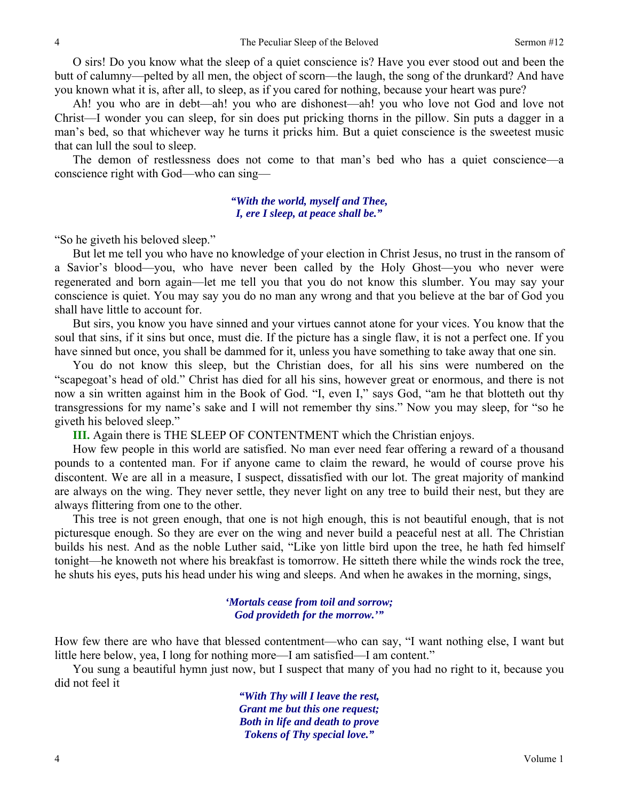O sirs! Do you know what the sleep of a quiet conscience is? Have you ever stood out and been the butt of calumny—pelted by all men, the object of scorn—the laugh, the song of the drunkard? And have you known what it is, after all, to sleep, as if you cared for nothing, because your heart was pure?

Ah! you who are in debt—ah! you who are dishonest—ah! you who love not God and love not Christ—I wonder you can sleep, for sin does put pricking thorns in the pillow. Sin puts a dagger in a man's bed, so that whichever way he turns it pricks him. But a quiet conscience is the sweetest music that can lull the soul to sleep.

The demon of restlessness does not come to that man's bed who has a quiet conscience—a conscience right with God—who can sing—

#### *"With the world, myself and Thee, I, ere I sleep, at peace shall be."*

"So he giveth his beloved sleep."

But let me tell you who have no knowledge of your election in Christ Jesus, no trust in the ransom of a Savior's blood—you, who have never been called by the Holy Ghost—you who never were regenerated and born again—let me tell you that you do not know this slumber. You may say your conscience is quiet. You may say you do no man any wrong and that you believe at the bar of God you shall have little to account for.

But sirs, you know you have sinned and your virtues cannot atone for your vices. You know that the soul that sins, if it sins but once, must die. If the picture has a single flaw, it is not a perfect one. If you have sinned but once, you shall be dammed for it, unless you have something to take away that one sin.

You do not know this sleep, but the Christian does, for all his sins were numbered on the "scapegoat's head of old." Christ has died for all his sins, however great or enormous, and there is not now a sin written against him in the Book of God. "I, even I," says God, "am he that blotteth out thy transgressions for my name's sake and I will not remember thy sins." Now you may sleep, for "so he giveth his beloved sleep."

**III.** Again there is THE SLEEP OF CONTENTMENT which the Christian enjoys.

How few people in this world are satisfied. No man ever need fear offering a reward of a thousand pounds to a contented man. For if anyone came to claim the reward, he would of course prove his discontent. We are all in a measure, I suspect, dissatisfied with our lot. The great majority of mankind are always on the wing. They never settle, they never light on any tree to build their nest, but they are always flittering from one to the other.

This tree is not green enough, that one is not high enough, this is not beautiful enough, that is not picturesque enough. So they are ever on the wing and never build a peaceful nest at all. The Christian builds his nest. And as the noble Luther said, "Like yon little bird upon the tree, he hath fed himself tonight—he knoweth not where his breakfast is tomorrow. He sitteth there while the winds rock the tree, he shuts his eyes, puts his head under his wing and sleeps. And when he awakes in the morning, sings,

#### *'Mortals cease from toil and sorrow; God provideth for the morrow.'"*

How few there are who have that blessed contentment—who can say, "I want nothing else, I want but little here below, yea, I long for nothing more—I am satisfied—I am content."

You sung a beautiful hymn just now, but I suspect that many of you had no right to it, because you did not feel it

> *"With Thy will I leave the rest, Grant me but this one request; Both in life and death to prove Tokens of Thy special love."*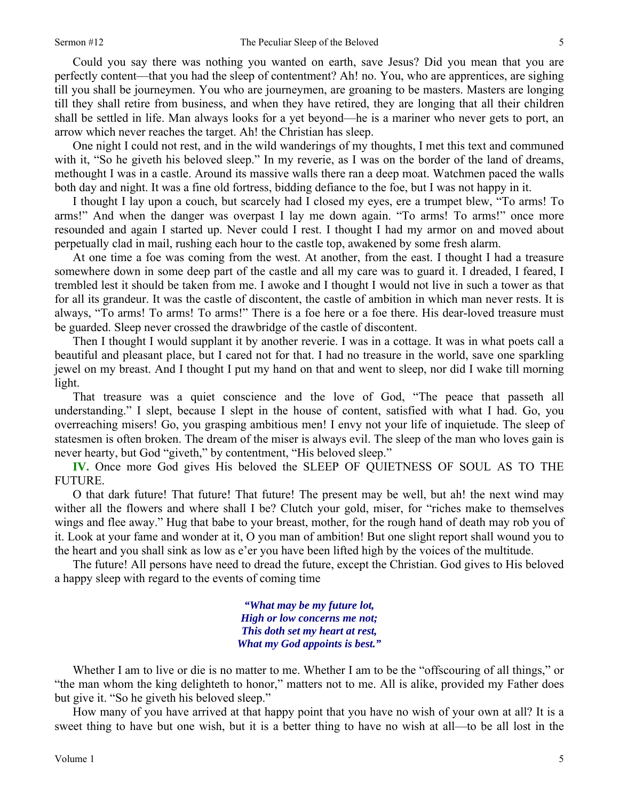Could you say there was nothing you wanted on earth, save Jesus? Did you mean that you are perfectly content—that you had the sleep of contentment? Ah! no. You, who are apprentices, are sighing till you shall be journeymen. You who are journeymen, are groaning to be masters. Masters are longing till they shall retire from business, and when they have retired, they are longing that all their children shall be settled in life. Man always looks for a yet beyond—he is a mariner who never gets to port, an arrow which never reaches the target. Ah! the Christian has sleep.

One night I could not rest, and in the wild wanderings of my thoughts, I met this text and communed with it, "So he giveth his beloved sleep." In my reverie, as I was on the border of the land of dreams, methought I was in a castle. Around its massive walls there ran a deep moat. Watchmen paced the walls both day and night. It was a fine old fortress, bidding defiance to the foe, but I was not happy in it.

I thought I lay upon a couch, but scarcely had I closed my eyes, ere a trumpet blew, "To arms! To arms!" And when the danger was overpast I lay me down again. "To arms! To arms!" once more resounded and again I started up. Never could I rest. I thought I had my armor on and moved about perpetually clad in mail, rushing each hour to the castle top, awakened by some fresh alarm.

At one time a foe was coming from the west. At another, from the east. I thought I had a treasure somewhere down in some deep part of the castle and all my care was to guard it. I dreaded, I feared, I trembled lest it should be taken from me. I awoke and I thought I would not live in such a tower as that for all its grandeur. It was the castle of discontent, the castle of ambition in which man never rests. It is always, "To arms! To arms! To arms!" There is a foe here or a foe there. His dear-loved treasure must be guarded. Sleep never crossed the drawbridge of the castle of discontent.

Then I thought I would supplant it by another reverie. I was in a cottage. It was in what poets call a beautiful and pleasant place, but I cared not for that. I had no treasure in the world, save one sparkling jewel on my breast. And I thought I put my hand on that and went to sleep, nor did I wake till morning light.

That treasure was a quiet conscience and the love of God, "The peace that passeth all understanding." I slept, because I slept in the house of content, satisfied with what I had. Go, you overreaching misers! Go, you grasping ambitious men! I envy not your life of inquietude. The sleep of statesmen is often broken. The dream of the miser is always evil. The sleep of the man who loves gain is never hearty, but God "giveth," by contentment, "His beloved sleep."

**IV.** Once more God gives His beloved the SLEEP OF QUIETNESS OF SOUL AS TO THE FUTURE.

O that dark future! That future! That future! The present may be well, but ah! the next wind may wither all the flowers and where shall I be? Clutch your gold, miser, for "riches make to themselves wings and flee away." Hug that babe to your breast, mother, for the rough hand of death may rob you of it. Look at your fame and wonder at it, O you man of ambition! But one slight report shall wound you to the heart and you shall sink as low as e'er you have been lifted high by the voices of the multitude.

The future! All persons have need to dread the future, except the Christian. God gives to His beloved a happy sleep with regard to the events of coming time

> *"What may be my future lot, High or low concerns me not; This doth set my heart at rest, What my God appoints is best."*

Whether I am to live or die is no matter to me. Whether I am to be the "offscouring of all things," or "the man whom the king delighteth to honor," matters not to me. All is alike, provided my Father does but give it. "So he giveth his beloved sleep."

How many of you have arrived at that happy point that you have no wish of your own at all? It is a sweet thing to have but one wish, but it is a better thing to have no wish at all—to be all lost in the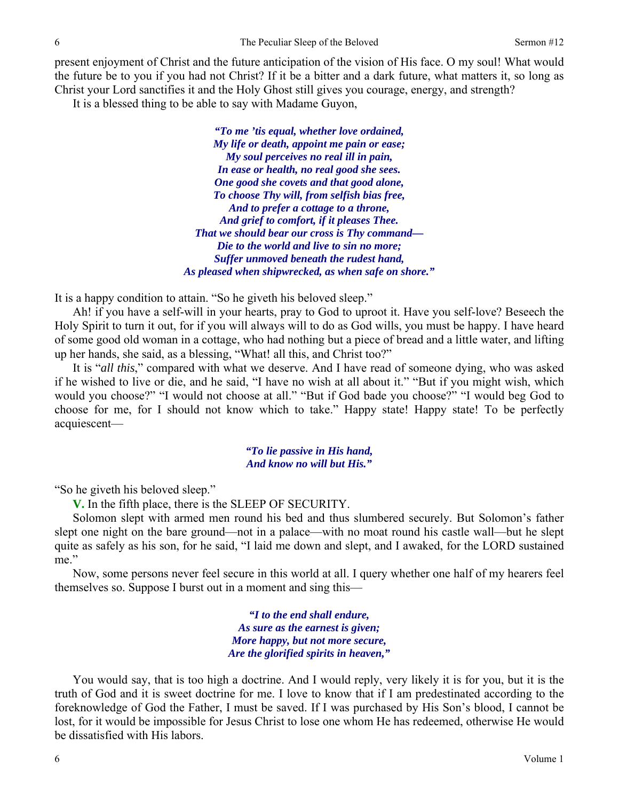present enjoyment of Christ and the future anticipation of the vision of His face. O my soul! What would the future be to you if you had not Christ? If it be a bitter and a dark future, what matters it, so long as Christ your Lord sanctifies it and the Holy Ghost still gives you courage, energy, and strength?

It is a blessed thing to be able to say with Madame Guyon,

*"To me 'tis equal, whether love ordained, My life or death, appoint me pain or ease; My soul perceives no real ill in pain, In ease or health, no real good she sees. One good she covets and that good alone, To choose Thy will, from selfish bias free, And to prefer a cottage to a throne, And grief to comfort, if it pleases Thee. That we should bear our cross is Thy command— Die to the world and live to sin no more; Suffer unmoved beneath the rudest hand, As pleased when shipwrecked, as when safe on shore."* 

It is a happy condition to attain. "So he giveth his beloved sleep."

Ah! if you have a self-will in your hearts, pray to God to uproot it. Have you self-love? Beseech the Holy Spirit to turn it out, for if you will always will to do as God wills, you must be happy. I have heard of some good old woman in a cottage, who had nothing but a piece of bread and a little water, and lifting up her hands, she said, as a blessing, "What! all this, and Christ too?"

It is "*all this*," compared with what we deserve. And I have read of someone dying, who was asked if he wished to live or die, and he said, "I have no wish at all about it." "But if you might wish, which would you choose?" "I would not choose at all." "But if God bade you choose?" "I would beg God to choose for me, for I should not know which to take." Happy state! Happy state! To be perfectly acquiescent—

## *"To lie passive in His hand, And know no will but His."*

"So he giveth his beloved sleep."

**V.** In the fifth place, there is the SLEEP OF SECURITY.

Solomon slept with armed men round his bed and thus slumbered securely. But Solomon's father slept one night on the bare ground—not in a palace—with no moat round his castle wall—but he slept quite as safely as his son, for he said, "I laid me down and slept, and I awaked, for the LORD sustained me."

Now, some persons never feel secure in this world at all. I query whether one half of my hearers feel themselves so. Suppose I burst out in a moment and sing this—

> *"I to the end shall endure, As sure as the earnest is given; More happy, but not more secure, Are the glorified spirits in heaven,"*

You would say, that is too high a doctrine. And I would reply, very likely it is for you, but it is the truth of God and it is sweet doctrine for me. I love to know that if I am predestinated according to the foreknowledge of God the Father, I must be saved. If I was purchased by His Son's blood, I cannot be lost, for it would be impossible for Jesus Christ to lose one whom He has redeemed, otherwise He would be dissatisfied with His labors.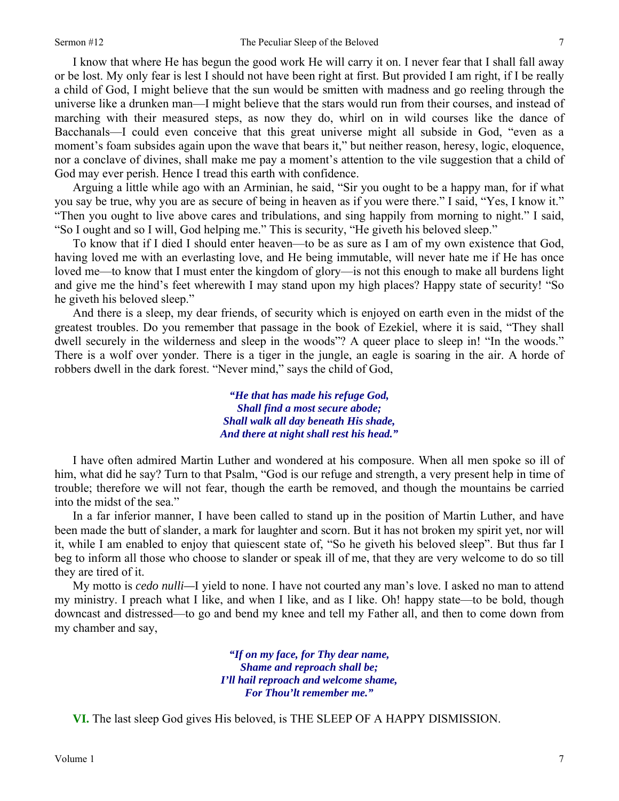I know that where He has begun the good work He will carry it on. I never fear that I shall fall away or be lost. My only fear is lest I should not have been right at first. But provided I am right, if I be really a child of God, I might believe that the sun would be smitten with madness and go reeling through the universe like a drunken man—I might believe that the stars would run from their courses, and instead of marching with their measured steps, as now they do, whirl on in wild courses like the dance of Bacchanals—I could even conceive that this great universe might all subside in God, "even as a moment's foam subsides again upon the wave that bears it," but neither reason, heresy, logic, eloquence, nor a conclave of divines, shall make me pay a moment's attention to the vile suggestion that a child of God may ever perish. Hence I tread this earth with confidence.

Arguing a little while ago with an Arminian, he said, "Sir you ought to be a happy man, for if what you say be true, why you are as secure of being in heaven as if you were there." I said, "Yes, I know it." "Then you ought to live above cares and tribulations, and sing happily from morning to night." I said, "So I ought and so I will, God helping me." This is security, "He giveth his beloved sleep."

To know that if I died I should enter heaven—to be as sure as I am of my own existence that God, having loved me with an everlasting love, and He being immutable, will never hate me if He has once loved me—to know that I must enter the kingdom of glory—is not this enough to make all burdens light and give me the hind's feet wherewith I may stand upon my high places? Happy state of security! "So he giveth his beloved sleep."

And there is a sleep, my dear friends, of security which is enjoyed on earth even in the midst of the greatest troubles. Do you remember that passage in the book of Ezekiel, where it is said, "They shall dwell securely in the wilderness and sleep in the woods"? A queer place to sleep in! "In the woods." There is a wolf over yonder. There is a tiger in the jungle, an eagle is soaring in the air. A horde of robbers dwell in the dark forest. "Never mind," says the child of God,

> *"He that has made his refuge God, Shall find a most secure abode; Shall walk all day beneath His shade, And there at night shall rest his head."*

I have often admired Martin Luther and wondered at his composure. When all men spoke so ill of him, what did he say? Turn to that Psalm, "God is our refuge and strength, a very present help in time of trouble; therefore we will not fear, though the earth be removed, and though the mountains be carried into the midst of the sea."

In a far inferior manner, I have been called to stand up in the position of Martin Luther, and have been made the butt of slander, a mark for laughter and scorn. But it has not broken my spirit yet, nor will it, while I am enabled to enjoy that quiescent state of, "So he giveth his beloved sleep". But thus far I beg to inform all those who choose to slander or speak ill of me, that they are very welcome to do so till they are tired of it.

My motto is *cedo nulli—*I yield to none. I have not courted any man's love. I asked no man to attend my ministry. I preach what I like, and when I like, and as I like. Oh! happy state—to be bold, though downcast and distressed—to go and bend my knee and tell my Father all, and then to come down from my chamber and say,

> *"If on my face, for Thy dear name, Shame and reproach shall be; I'll hail reproach and welcome shame, For Thou'lt remember me."*

**VI.** The last sleep God gives His beloved, is THE SLEEP OF A HAPPY DISMISSION.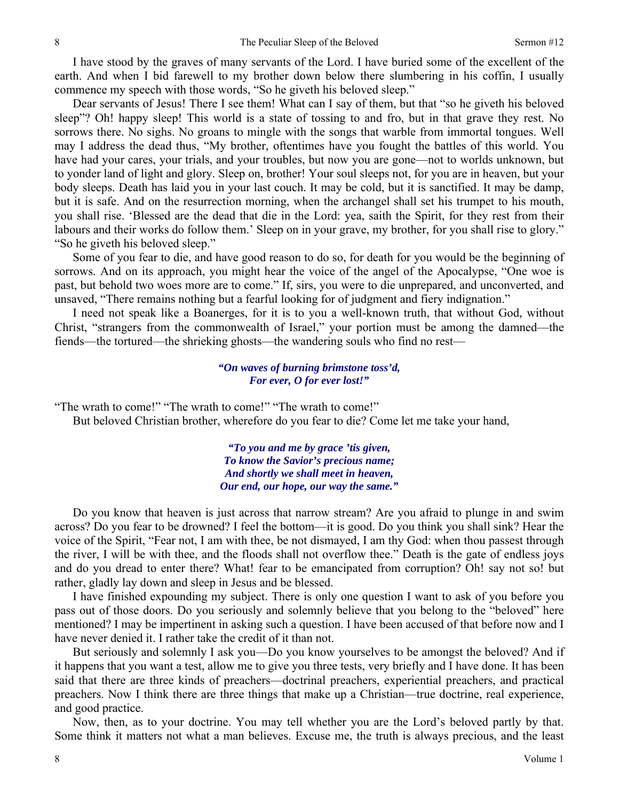I have stood by the graves of many servants of the Lord. I have buried some of the excellent of the earth. And when I bid farewell to my brother down below there slumbering in his coffin, I usually commence my speech with those words, "So he giveth his beloved sleep."

Dear servants of Jesus! There I see them! What can I say of them, but that "so he giveth his beloved sleep"? Oh! happy sleep! This world is a state of tossing to and fro, but in that grave they rest. No sorrows there. No sighs. No groans to mingle with the songs that warble from immortal tongues. Well may I address the dead thus, "My brother, oftentimes have you fought the battles of this world. You have had your cares, your trials, and your troubles, but now you are gone—not to worlds unknown, but to yonder land of light and glory. Sleep on, brother! Your soul sleeps not, for you are in heaven, but your body sleeps. Death has laid you in your last couch. It may be cold, but it is sanctified. It may be damp, but it is safe. And on the resurrection morning, when the archangel shall set his trumpet to his mouth, you shall rise. 'Blessed are the dead that die in the Lord: yea, saith the Spirit, for they rest from their labours and their works do follow them.' Sleep on in your grave, my brother, for you shall rise to glory." "So he giveth his beloved sleep."

Some of you fear to die, and have good reason to do so, for death for you would be the beginning of sorrows. And on its approach, you might hear the voice of the angel of the Apocalypse, "One woe is past, but behold two woes more are to come." If, sirs, you were to die unprepared, and unconverted, and unsaved, "There remains nothing but a fearful looking for of judgment and fiery indignation."

I need not speak like a Boanerges, for it is to you a well-known truth, that without God, without Christ, "strangers from the commonwealth of Israel," your portion must be among the damned—the fiends—the tortured—the shrieking ghosts—the wandering souls who find no rest—

## *"On waves of burning brimstone toss'd, For ever, O for ever lost!"*

"The wrath to come!" "The wrath to come!" "The wrath to come!"

But beloved Christian brother, wherefore do you fear to die? Come let me take your hand,

*"To you and me by grace 'tis given, To know the Savior's precious name; And shortly we shall meet in heaven, Our end, our hope, our way the same."* 

Do you know that heaven is just across that narrow stream? Are you afraid to plunge in and swim across? Do you fear to be drowned? I feel the bottom—it is good. Do you think you shall sink? Hear the voice of the Spirit, "Fear not, I am with thee, be not dismayed, I am thy God: when thou passest through the river, I will be with thee, and the floods shall not overflow thee." Death is the gate of endless joys and do you dread to enter there? What! fear to be emancipated from corruption? Oh! say not so! but rather, gladly lay down and sleep in Jesus and be blessed.

I have finished expounding my subject. There is only one question I want to ask of you before you pass out of those doors. Do you seriously and solemnly believe that you belong to the "beloved" here mentioned? I may be impertinent in asking such a question. I have been accused of that before now and I have never denied it. I rather take the credit of it than not.

But seriously and solemnly I ask you—Do you know yourselves to be amongst the beloved? And if it happens that you want a test, allow me to give you three tests, very briefly and I have done. It has been said that there are three kinds of preachers—doctrinal preachers, experiential preachers, and practical preachers. Now I think there are three things that make up a Christian—true doctrine, real experience, and good practice.

Now, then, as to your doctrine. You may tell whether you are the Lord's beloved partly by that. Some think it matters not what a man believes. Excuse me, the truth is always precious, and the least